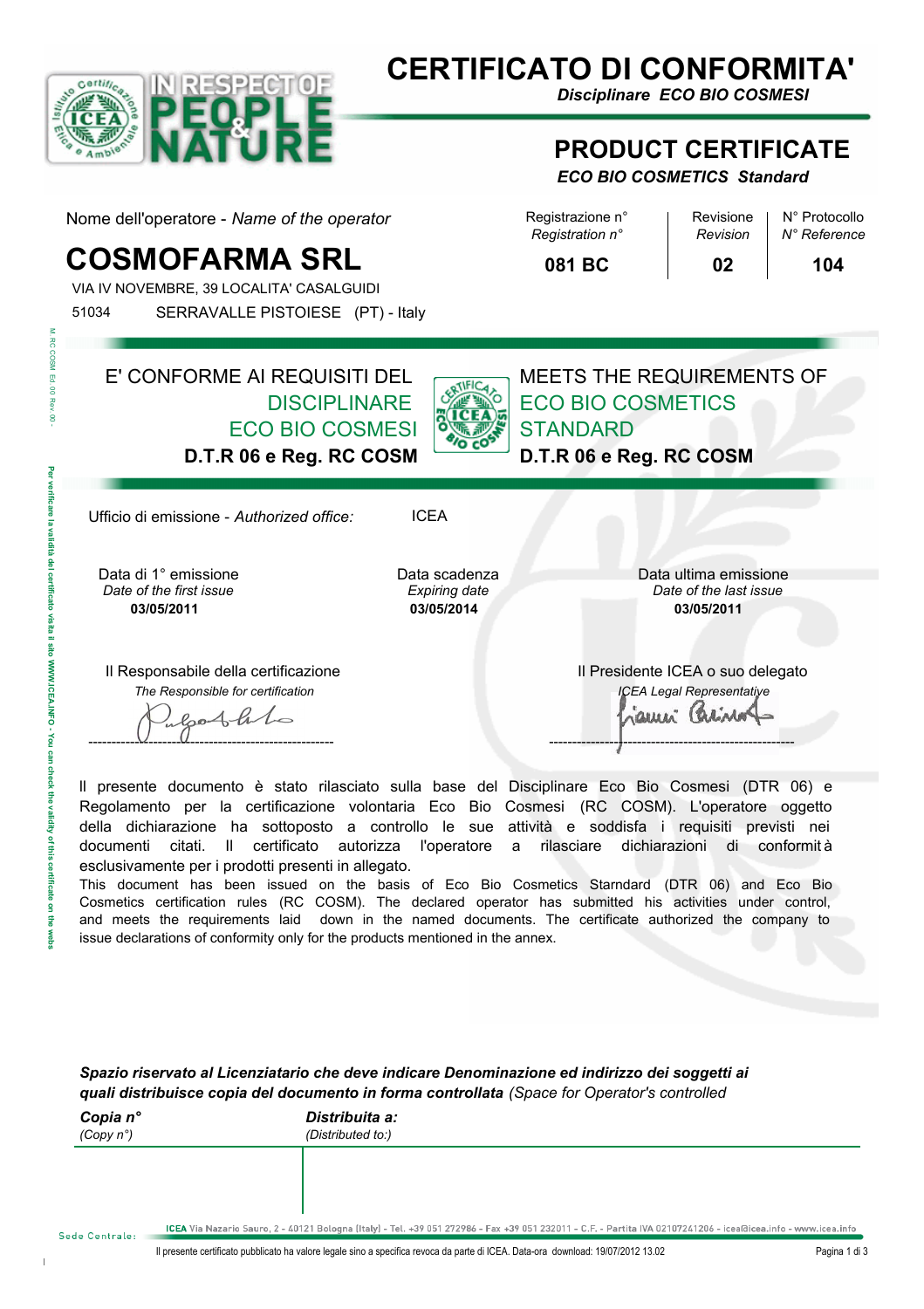

# **CERTIFICATO DI CONFORMITA'**

*Disciplinare ECO BIO COSMESI*

#### **PRODUCT CERTIFICATE**

#### *ECO BIO COSMETICS Standard*

Nome dell'operatore - Name of the operator Registrazione n° Revisione | N° Protocollo

# **COSMOFARMA SRL** 081 BC 02 104

VIA IV NOVEMBRE, 39 LOCALITA' CASALGUIDI 51034 SERRAVALLE PISTOIESE (PT) - Italy *Registration n° Revision*

*N° Reference*

**081 BC**

**02**

E' CONFORME AI REQUISITI DEL **DISCIPI INARF** ECO BIO COSMESI **D.T.R 06 e Reg. RC COSM**



ECO BIO COSMETICS **STANDARD D.T.R 06 e Reg. RC COSM**

MEETS THE REQUIREMENTS OF

Ufficio di emissione - *Authorized office:* ICEA

Data scadenza *Expiring date* **03/05/2014**

Data di 1° emissione **03/05/2011** *Date of the first issue Date of the last issue*

Il Responsabile della certificazione *The Responsible for certification*

bothho ----------------------------------------------------- -----------------------------------------------------

Il Presidente ICEA o suo delegato *ICEA Legal Representative* aueri Carino

Data ultima emissione

**03/05/2011**

ll presente documento è stato rilasciato sulla base del Disciplinare Eco Bio Cosmesi (DTR 06) e Regolamento per la certificazione volontaria Eco Bio Cosmesi (RC COSM). L'operatore oggetto della dichiarazione ha sottoposto a controllo le sue attività e soddisfa i requisiti previsti nei documenti citati. Il certificato autorizza l'operatore a rilasciare dichiarazioni di conformit à esclusivamente per i prodotti presenti in allegato.

This document has been issued on the basis of Eco Bio Cosmetics Starndard (DTR 06) and Eco Bio Cosmetics certification rules (RC COSM). The declared operator has submitted his activities under control, and meets the requirements laid down in the named documents. The certificate authorized the company to issue declarations of conformity only for the products mentioned in the annex.

*Spazio riservato al Licenziatario che deve indicare Denominazione ed indirizzo dei soggetti ai quali distribuisce copia del documento in forma controllata (Space for Operator's controlled* 

| Copia n°<br>(Copy $n^{\circ}$ ) | Distribuita a:<br>(Distributed to:)                                                                                                                            |
|---------------------------------|----------------------------------------------------------------------------------------------------------------------------------------------------------------|
|                                 |                                                                                                                                                                |
|                                 |                                                                                                                                                                |
| $1 - 0 - 1 - 1 - 1$             | ICEA Via Nazario Sauro, 2 - 40121 Bologna (Italy) - Tel. +39 051 272986 - Fax +39 051 232011 - C.F. - Partita IVA 02107241206 - icea@icea.info - www.icea.info |

 $\mathbf{r}$ 

**RC COSM** Ed. 00  $\frac{1}{6}$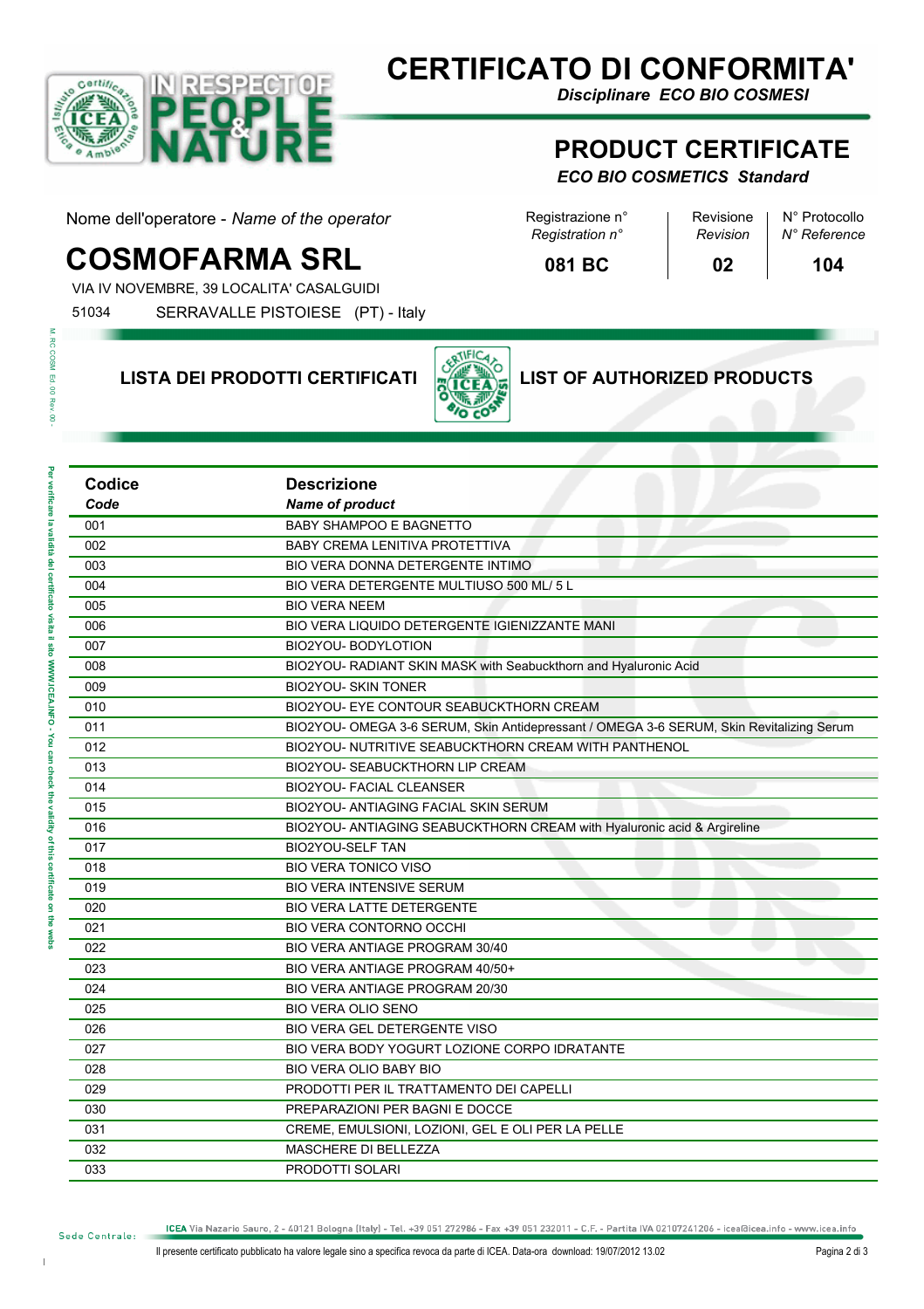

# **CERTIFICATO DI CONFORMITA'**

*Registration n° Revision*

**081 BC**

*Disciplinare ECO BIO COSMESI*

#### **PRODUCT CERTIFICATE**

#### *ECO BIO COSMETICS Standard*

Nome dell'operatore - Name of the operator Registrazione n° Revisione | N° Protocollo

# **COSMOFARMA SRL** 081 BC 02 104

VIA IV NOVEMBRE, 39 LOCALITA' CASALGUIDI

**Codice**

51034 SERRAVALLE PISTOIESE (PT) - Italy

# **LISTA DEI PRODOTTI CERTIFICATI LIST OF AUTHORIZED PRODUCTS**

**Descrizione**



**02**

*N° Reference*

M. RC COSM Ed. 00 Rev â

L,

L. Î.

L.

L,

L,

L, L.

L,

L,

L,

 $\overline{a}$ 

 $\overline{\phantom{0}}$ Ĭ. L, L, L,

L, aem

| Code | <b>Name of product</b>                                                                   |
|------|------------------------------------------------------------------------------------------|
| 001  | <b>BABY SHAMPOO E BAGNETTO</b>                                                           |
| 002  | <b>BABY CREMA LENITIVA PROTETTIVA</b>                                                    |
| 003  | BIO VERA DONNA DETERGENTE INTIMO                                                         |
| 004  | BIO VERA DETERGENTE MULTIUSO 500 ML/ 5 L                                                 |
| 005  | <b>BIO VERA NEEM</b>                                                                     |
| 006  | BIO VERA LIQUIDO DETERGENTE IGIENIZZANTE MANI                                            |
| 007  | BIO2YOU-BODYLOTION                                                                       |
| 008  | BIO2YOU- RADIANT SKIN MASK with Seabuckthorn and Hyaluronic Acid                         |
| 009  | <b>BIO2YOU- SKIN TONER</b>                                                               |
| 010  | BIO2YOU- EYE CONTOUR SEABUCKTHORN CREAM                                                  |
| 011  | BIO2YOU- OMEGA 3-6 SERUM, Skin Antidepressant / OMEGA 3-6 SERUM, Skin Revitalizing Serum |
| 012  | BIO2YOU- NUTRITIVE SEABUCKTHORN CREAM WITH PANTHENOL                                     |
| 013  | BIO2YOU- SEABUCKTHORN LIP CREAM                                                          |
| 014  | <b>BIO2YOU- FACIAL CLEANSER</b>                                                          |
| 015  | BIO2YOU- ANTIAGING FACIAL SKIN SERUM                                                     |
| 016  | BIO2YOU- ANTIAGING SEABUCKTHORN CREAM with Hyaluronic acid & Argireline                  |
| 017  | <b>BIO2YOU-SELF TAN</b>                                                                  |
| 018  | <b>BIO VERA TONICO VISO</b>                                                              |
| 019  | <b>BIO VERA INTENSIVE SERUM</b>                                                          |
| 020  | <b>BIO VERA LATTE DETERGENTE</b>                                                         |
| 021  | <b>BIO VERA CONTORNO OCCHI</b>                                                           |
| 022  | BIO VERA ANTIAGE PROGRAM 30/40                                                           |
| 023  | BIO VERA ANTIAGE PROGRAM 40/50+                                                          |
| 024  | <b>BIO VERA ANTIAGE PROGRAM 20/30</b>                                                    |
| 025  | <b>BIO VERA OLIO SENO</b>                                                                |
| 026  | BIO VERA GEL DETERGENTE VISO                                                             |
| 027  | BIO VERA BODY YOGURT LOZIONE CORPO IDRATANTE                                             |
| 028  | <b>BIO VERA OLIO BABY BIO</b>                                                            |
| 029  | PRODOTTI PER IL TRATTAMENTO DEI CAPELLI                                                  |
| 030  | PREPARAZIONI PER BAGNI E DOCCE                                                           |
| 031  | CREME, EMULSIONI, LOZIONI, GEL E OLI PER LA PELLE                                        |
| 032  | <b>MASCHERE DI BELLEZZA</b>                                                              |
| 033  | <b>PRODOTTI SOLARI</b>                                                                   |

ICEA Via Nazario Sauro, 2 - 40121 Bologna (Italy) - Tel. +39 051 272986 - Fax +39 051 232011 - C.F. - Partita IVA 02107241206 - icea@icea.info - www.icea.info

Sede Centrale: